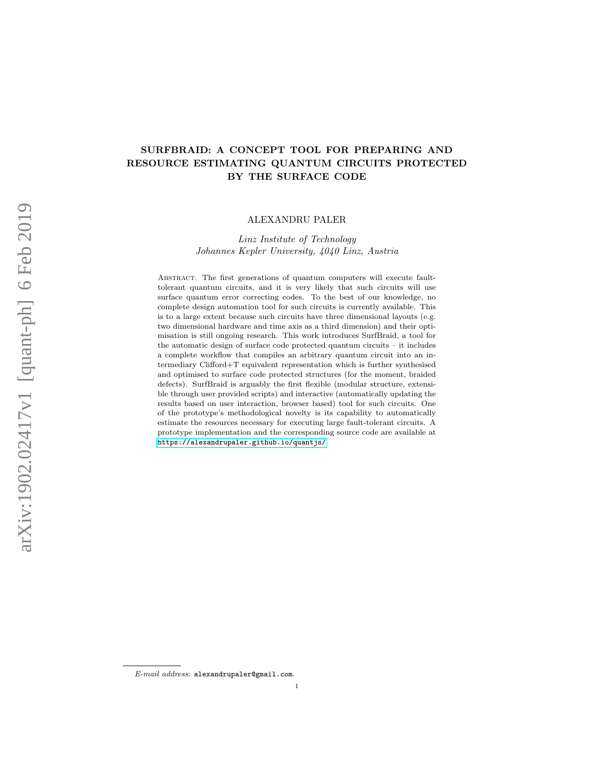# SURFBRAID: A CONCEPT TOOL FOR PREPARING AND RESOURCE ESTIMATING QUANTUM CIRCUITS PROTECTED BY THE SURFACE CODE

### ALEXANDRU PALER

# Linz Institute of Technology Johannes Kepler University, 4040 Linz, Austria

Abstract. The first generations of quantum computers will execute faulttolerant quantum circuits, and it is very likely that such circuits will use surface quantum error correcting codes. To the best of our knowledge, no complete design automation tool for such circuits is currently available. This is to a large extent because such circuits have three dimensional layouts (e.g. two dimensional hardware and time axis as a third dimension) and their optimisation is still ongoing research. This work introduces SurfBraid, a tool for the automatic design of surface code protected quantum circuits – it includes a complete workflow that compiles an arbitrary quantum circuit into an intermediary Clifford+T equivalent representation which is further synthesised and optimised to surface code protected structures (for the moment, braided defects). SurfBraid is arguably the first flexible (modular structure, extensible through user provided scripts) and interactive (automatically updating the results based on user interaction, browser based) tool for such circuits. One of the prototype's methodological novelty is its capability to automatically estimate the resources necessary for executing large fault-tolerant circuits. A prototype implementation and the corresponding source code are available at <https://alexandrupaler.github.io/quantjs/>.

E-mail address: alexandrupaler@gmail.com.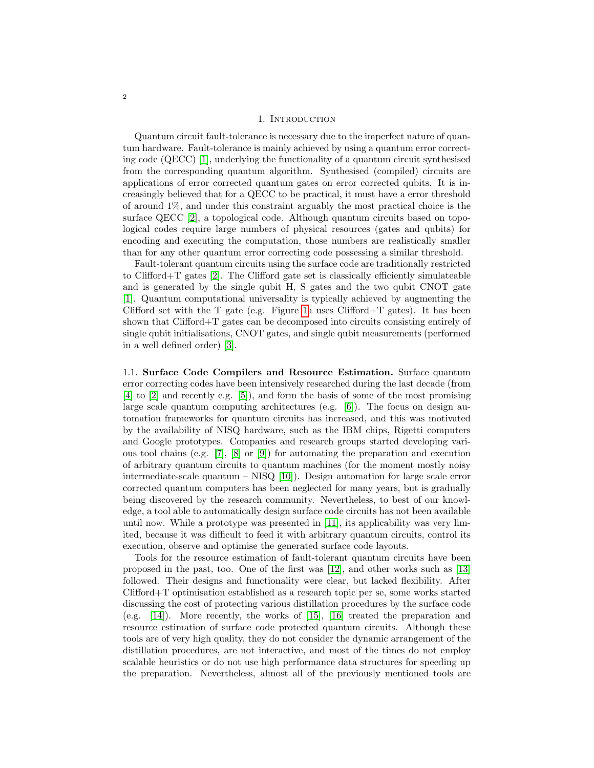#### 1. INTRODUCTION

Quantum circuit fault-tolerance is necessary due to the imperfect nature of quantum hardware. Fault-tolerance is mainly achieved by using a quantum error correcting code (QECC) [\[1\]](#page-10-0), underlying the functionality of a quantum circuit synthesised from the corresponding quantum algorithm. Synthesised (compiled) circuits are applications of error corrected quantum gates on error corrected qubits. It is increasingly believed that for a QECC to be practical, it must have a error threshold of around 1%, and under this constraint arguably the most practical choice is the surface QECC [\[2\]](#page-10-1), a topological code. Although quantum circuits based on topological codes require large numbers of physical resources (gates and qubits) for encoding and executing the computation, those numbers are realistically smaller than for any other quantum error correcting code possessing a similar threshold.

Fault-tolerant quantum circuits using the surface code are traditionally restricted to Clifford $+T$  gates [\[2\]](#page-10-1). The Clifford gate set is classically efficiently simulateable and is generated by the single qubit H, S gates and the two qubit CNOT gate [\[1\]](#page-10-0). Quantum computational universality is typically achieved by augmenting the Clifford set with the T gate (e.g. Figure [1a](#page-2-0) uses Clifford+T gates). It has been shown that Clifford+T gates can be decomposed into circuits consisting entirely of single qubit initialisations, CNOT gates, and single qubit measurements (performed in a well defined order) [\[3\]](#page-10-2).

1.1. Surface Code Compilers and Resource Estimation. Surface quantum error correcting codes have been intensively researched during the last decade (from [\[4\]](#page-10-3) to [\[2\]](#page-10-1) and recently e.g. [\[5\]](#page-10-4)), and form the basis of some of the most promising large scale quantum computing architectures (e.g. [\[6\]](#page-10-5)). The focus on design automation frameworks for quantum circuits has increased, and this was motivated by the availability of NISQ hardware, such as the IBM chips, Rigetti computers and Google prototypes. Companies and research groups started developing various tool chains (e.g. [\[7\]](#page-10-6), [\[8\]](#page-10-7) or [\[9\]](#page-10-8)) for automating the preparation and execution of arbitrary quantum circuits to quantum machines (for the moment mostly noisy intermediate-scale quantum – NISQ [\[10\]](#page-10-9)). Design automation for large scale error corrected quantum computers has been neglected for many years, but is gradually being discovered by the research community. Nevertheless, to best of our knowledge, a tool able to automatically design surface code circuits has not been available until now. While a prototype was presented in [\[11\]](#page-10-10), its applicability was very limited, because it was difficult to feed it with arbitrary quantum circuits, control its execution, observe and optimise the generated surface code layouts.

Tools for the resource estimation of fault-tolerant quantum circuits have been proposed in the past, too. One of the first was [\[12\]](#page-10-11), and other works such as [\[13\]](#page-10-12) followed. Their designs and functionality were clear, but lacked flexibility. After Clifford+T optimisation established as a research topic per se, some works started discussing the cost of protecting various distillation procedures by the surface code (e.g. [\[14\]](#page-10-13)). More recently, the works of [\[15\]](#page-10-14), [\[16\]](#page-10-15) treated the preparation and resource estimation of surface code protected quantum circuits. Although these tools are of very high quality, they do not consider the dynamic arrangement of the distillation procedures, are not interactive, and most of the times do not employ scalable heuristics or do not use high performance data structures for speeding up the preparation. Nevertheless, almost all of the previously mentioned tools are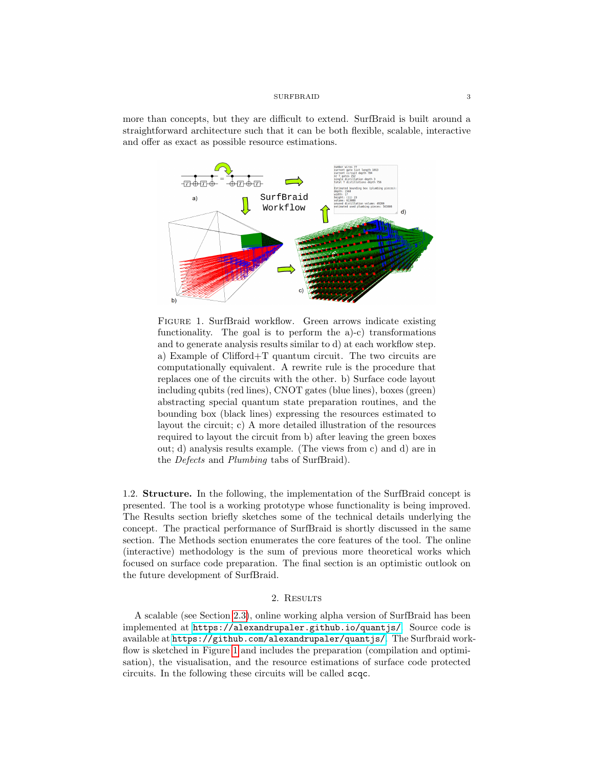more than concepts, but they are difficult to extend. SurfBraid is built around a straightforward architecture such that it can be both flexible, scalable, interactive and offer as exact as possible resource estimations.



<span id="page-2-0"></span>FIGURE 1. SurfBraid workflow. Green arrows indicate existing functionality. The goal is to perform the a)-c) transformations and to generate analysis results similar to d) at each workflow step. a) Example of Clifford+T quantum circuit. The two circuits are computationally equivalent. A rewrite rule is the procedure that replaces one of the circuits with the other. b) Surface code layout including qubits (red lines), CNOT gates (blue lines), boxes (green) abstracting special quantum state preparation routines, and the bounding box (black lines) expressing the resources estimated to layout the circuit; c) A more detailed illustration of the resources required to layout the circuit from b) after leaving the green boxes out; d) analysis results example. (The views from c) and d) are in the Defects and Plumbing tabs of SurfBraid).

1.2. Structure. In the following, the implementation of the SurfBraid concept is presented. The tool is a working prototype whose functionality is being improved. The Results section briefly sketches some of the technical details underlying the concept. The practical performance of SurfBraid is shortly discussed in the same section. The Methods section enumerates the core features of the tool. The online (interactive) methodology is the sum of previous more theoretical works which focused on surface code preparation. The final section is an optimistic outlook on the future development of SurfBraid.

### 2. RESULTS

A scalable (see Section [2.3\)](#page-5-0), online working alpha version of SurfBraid has been implemented at <https://alexandrupaler.github.io/quantjs/>. Source code is available at <https://github.com/alexandrupaler/quantjs/>. The Surfbraid workflow is sketched in Figure [1](#page-2-0) and includes the preparation (compilation and optimisation), the visualisation, and the resource estimations of surface code protected circuits. In the following these circuits will be called scqc.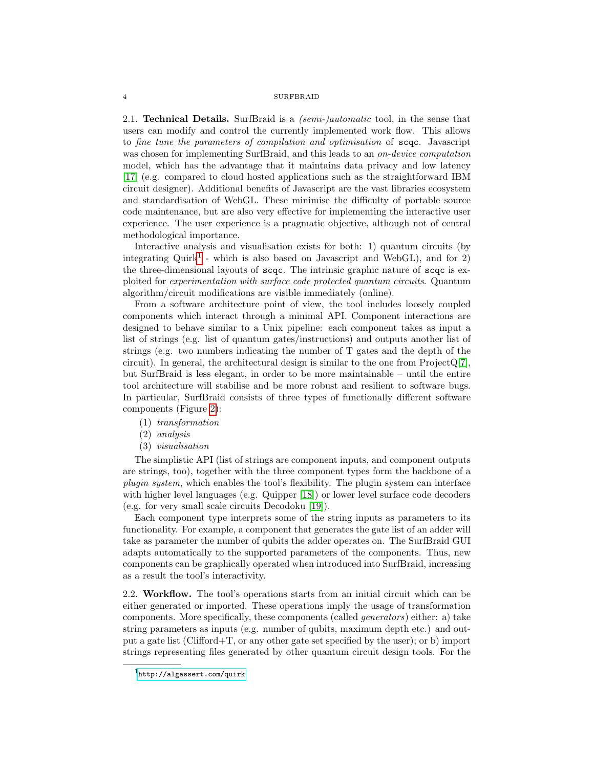2.1. **Technical Details.** SurfBraid is a *(semi-)automatic* tool, in the sense that users can modify and control the currently implemented work flow. This allows to fine tune the parameters of compilation and optimisation of scqc. Javascript was chosen for implementing SurfBraid, and this leads to an *on-device computation* model, which has the advantage that it maintains data privacy and low latency [\[17\]](#page-11-0) (e.g. compared to cloud hosted applications such as the straightforward IBM circuit designer). Additional benefits of Javascript are the vast libraries ecosystem and standardisation of WebGL. These minimise the difficulty of portable source code maintenance, but are also very effective for implementing the interactive user experience. The user experience is a pragmatic objective, although not of central methodological importance.

Interactive analysis and visualisation exists for both: 1) quantum circuits (by integrating Quirk<sup>[1](#page-3-0)</sup> - which is also based on Javascript and WebGL), and for 2) the three-dimensional layouts of scqc. The intrinsic graphic nature of scqc is exploited for experimentation with surface code protected quantum circuits. Quantum algorithm/circuit modifications are visible immediately (online).

From a software architecture point of view, the tool includes loosely coupled components which interact through a minimal API. Component interactions are designed to behave similar to a Unix pipeline: each component takes as input a list of strings (e.g. list of quantum gates/instructions) and outputs another list of strings (e.g. two numbers indicating the number of T gates and the depth of the circuit). In general, the architectural design is similar to the one from  $ProjectQ[7]$  $ProjectQ[7]$ , but SurfBraid is less elegant, in order to be more maintainable – until the entire tool architecture will stabilise and be more robust and resilient to software bugs. In particular, SurfBraid consists of three types of functionally different software components (Figure [2\)](#page-4-0):

(1) transformation

(2) analysis

(3) visualisation

The simplistic API (list of strings are component inputs, and component outputs are strings, too), together with the three component types form the backbone of a plugin system, which enables the tool's flexibility. The plugin system can interface with higher level languages (e.g. Quipper [\[18\]](#page-11-1)) or lower level surface code decoders (e.g. for very small scale circuits Decodoku [\[19\]](#page-11-2)).

Each component type interprets some of the string inputs as parameters to its functionality. For example, a component that generates the gate list of an adder will take as parameter the number of qubits the adder operates on. The SurfBraid GUI adapts automatically to the supported parameters of the components. Thus, new components can be graphically operated when introduced into SurfBraid, increasing as a result the tool's interactivity.

2.2. Workflow. The tool's operations starts from an initial circuit which can be either generated or imported. These operations imply the usage of transformation components. More specifically, these components (called generators) either: a) take string parameters as inputs (e.g. number of qubits, maximum depth etc.) and output a gate list (Clifford+T, or any other gate set specified by the user); or b) import strings representing files generated by other quantum circuit design tools. For the

<span id="page-3-0"></span><sup>1</sup><http://algassert.com/quirk>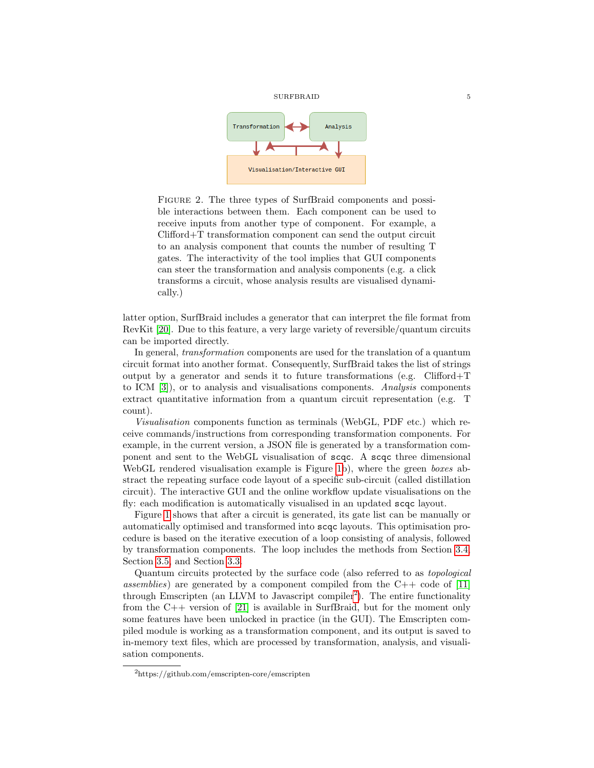



<span id="page-4-0"></span>Figure 2. The three types of SurfBraid components and possible interactions between them. Each component can be used to receive inputs from another type of component. For example, a Clifford+T transformation component can send the output circuit to an analysis component that counts the number of resulting T gates. The interactivity of the tool implies that GUI components can steer the transformation and analysis components (e.g. a click transforms a circuit, whose analysis results are visualised dynamically.)

latter option, SurfBraid includes a generator that can interpret the file format from RevKit [\[20\]](#page-11-3). Due to this feature, a very large variety of reversible/quantum circuits can be imported directly.

In general, transformation components are used for the translation of a quantum circuit format into another format. Consequently, SurfBraid takes the list of strings output by a generator and sends it to future transformations (e.g.  $Clifford+T$ to ICM [\[3\]](#page-10-2)), or to analysis and visualisations components. Analysis components extract quantitative information from a quantum circuit representation (e.g. T count).

Visualisation components function as terminals (WebGL, PDF etc.) which receive commands/instructions from corresponding transformation components. For example, in the current version, a JSON file is generated by a transformation component and sent to the WebGL visualisation of scqc. A scqc three dimensional WebGL rendered visualisation example is Figure [1b](#page-2-0)), where the green boxes abstract the repeating surface code layout of a specific sub-circuit (called distillation circuit). The interactive GUI and the online workflow update visualisations on the fly: each modification is automatically visualised in an updated scqc layout.

Figure [1](#page-2-0) shows that after a circuit is generated, its gate list can be manually or automatically optimised and transformed into scqc layouts. This optimisation procedure is based on the iterative execution of a loop consisting of analysis, followed by transformation components. The loop includes the methods from Section [3.4,](#page-8-0) Section [3.5,](#page-9-0) and Section [3.3.](#page-7-0)

Quantum circuits protected by the surface code (also referred to as topological assemblies) are generated by a component compiled from the C++ code of [\[11\]](#page-10-10) through Emscripten (an LLVM to Javascript compiler<sup>[2](#page-4-1)</sup>). The entire functionality from the C++ version of [\[21\]](#page-11-4) is available in SurfBraid, but for the moment only some features have been unlocked in practice (in the GUI). The Emscripten compiled module is working as a transformation component, and its output is saved to in-memory text files, which are processed by transformation, analysis, and visualisation components.

<span id="page-4-1"></span><sup>2</sup>https://github.com/emscripten-core/emscripten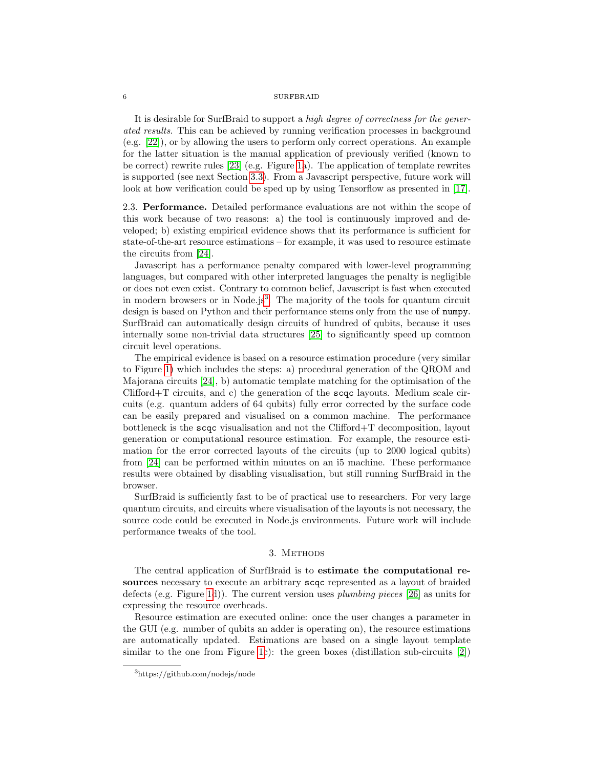It is desirable for SurfBraid to support a high degree of correctness for the generated results. This can be achieved by running verification processes in background (e.g. [\[22\]](#page-11-5)), or by allowing the users to perform only correct operations. An example for the latter situation is the manual application of previously verified (known to be correct) rewrite rules [\[23\]](#page-11-6) (e.g. Figure [1a](#page-2-0)). The application of template rewrites is supported (see next Section [3.3\)](#page-7-0). From a Javascript perspective, future work will look at how verification could be sped up by using Tensorflow as presented in [\[17\]](#page-11-0).

<span id="page-5-0"></span>2.3. Performance. Detailed performance evaluations are not within the scope of this work because of two reasons: a) the tool is continuously improved and developed; b) existing empirical evidence shows that its performance is sufficient for state-of-the-art resource estimations – for example, it was used to resource estimate the circuits from [\[24\]](#page-11-7).

Javascript has a performance penalty compared with lower-level programming languages, but compared with other interpreted languages the penalty is negligible or does not even exist. Contrary to common belief, Javascript is fast when executed in modern browsers or in Node.js<sup>[3](#page-5-1)</sup>. The majority of the tools for quantum circuit design is based on Python and their performance stems only from the use of numpy. SurfBraid can automatically design circuits of hundred of qubits, because it uses internally some non-trivial data structures [\[25\]](#page-11-8) to significantly speed up common circuit level operations.

The empirical evidence is based on a resource estimation procedure (very similar to Figure [1\)](#page-2-0) which includes the steps: a) procedural generation of the QROM and Majorana circuits [\[24\]](#page-11-7), b) automatic template matching for the optimisation of the Clifford+T circuits, and c) the generation of the scqc layouts. Medium scale circuits (e.g. quantum adders of 64 qubits) fully error corrected by the surface code can be easily prepared and visualised on a common machine. The performance bottleneck is the scqc visualisation and not the Clifford+T decomposition, layout generation or computational resource estimation. For example, the resource estimation for the error corrected layouts of the circuits (up to 2000 logical qubits) from [\[24\]](#page-11-7) can be performed within minutes on an i5 machine. These performance results were obtained by disabling visualisation, but still running SurfBraid in the browser.

SurfBraid is sufficiently fast to be of practical use to researchers. For very large quantum circuits, and circuits where visualisation of the layouts is not necessary, the source code could be executed in Node.js environments. Future work will include performance tweaks of the tool.

### 3. METHODS

The central application of SurfBraid is to estimate the computational resources necessary to execute an arbitrary scqc represented as a layout of braided defects (e.g. Figure [1d](#page-2-0))). The current version uses plumbing pieces [\[26\]](#page-11-9) as units for expressing the resource overheads.

Resource estimation are executed online: once the user changes a parameter in the GUI (e.g. number of qubits an adder is operating on), the resource estimations are automatically updated. Estimations are based on a single layout template similar to the one from Figure [1c](#page-2-0)): the green boxes (distillation sub-circuits  $|2|$ )

<span id="page-5-1"></span><sup>3</sup>https://github.com/nodejs/node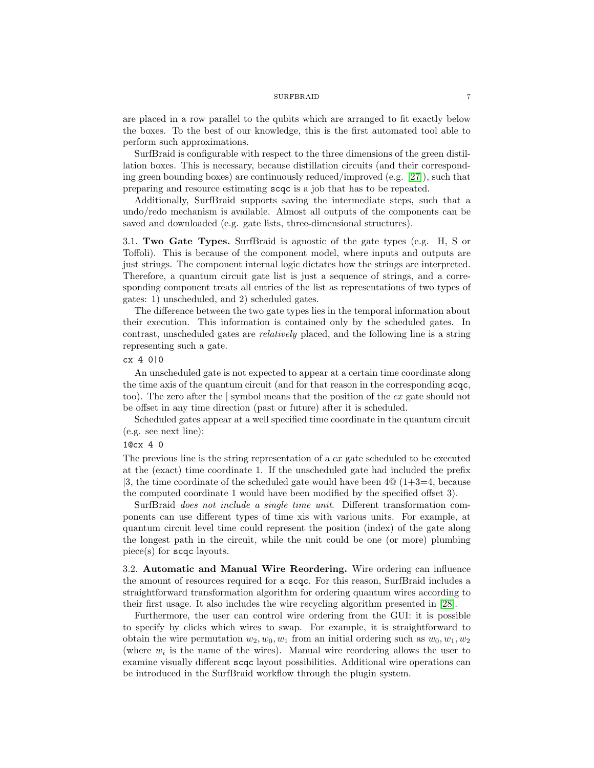are placed in a row parallel to the qubits which are arranged to fit exactly below the boxes. To the best of our knowledge, this is the first automated tool able to perform such approximations.

SurfBraid is configurable with respect to the three dimensions of the green distillation boxes. This is necessary, because distillation circuits (and their corresponding green bounding boxes) are continuously reduced/improved (e.g. [\[27\]](#page-11-10)), such that preparing and resource estimating scqc is a job that has to be repeated.

Additionally, SurfBraid supports saving the intermediate steps, such that a undo/redo mechanism is available. Almost all outputs of the components can be saved and downloaded (e.g. gate lists, three-dimensional structures).

<span id="page-6-0"></span>3.1. Two Gate Types. SurfBraid is agnostic of the gate types (e.g. H, S or Toffoli). This is because of the component model, where inputs and outputs are just strings. The component internal logic dictates how the strings are interpreted. Therefore, a quantum circuit gate list is just a sequence of strings, and a corresponding component treats all entries of the list as representations of two types of gates: 1) unscheduled, and 2) scheduled gates.

The difference between the two gate types lies in the temporal information about their execution. This information is contained only by the scheduled gates. In contrast, unscheduled gates are relatively placed, and the following line is a string representing such a gate.

# cx 4 0|0

An unscheduled gate is not expected to appear at a certain time coordinate along the time axis of the quantum circuit (and for that reason in the corresponding scqc, too). The zero after the | symbol means that the position of the cx gate should not be offset in any time direction (past or future) after it is scheduled.

Scheduled gates appear at a well specified time coordinate in the quantum circuit (e.g. see next line):

#### 1@cx 4 0

The previous line is the string representation of a  $cx$  gate scheduled to be executed at the (exact) time coordinate 1. If the unscheduled gate had included the prefix |3, the time coordinate of the scheduled gate would have been  $4@(1+3=4, \text{ because}$ the computed coordinate 1 would have been modified by the specified offset 3).

SurfBraid does not include a single time unit. Different transformation components can use different types of time xis with various units. For example, at quantum circuit level time could represent the position (index) of the gate along the longest path in the circuit, while the unit could be one (or more) plumbing piece(s) for scqc layouts.

3.2. Automatic and Manual Wire Reordering. Wire ordering can influence the amount of resources required for a scqc. For this reason, SurfBraid includes a straightforward transformation algorithm for ordering quantum wires according to their first usage. It also includes the wire recycling algorithm presented in [\[28\]](#page-11-11).

Furthermore, the user can control wire ordering from the GUI: it is possible to specify by clicks which wires to swap. For example, it is straightforward to obtain the wire permutation  $w_2, w_0, w_1$  from an initial ordering such as  $w_0, w_1, w_2$ (where  $w_i$  is the name of the wires). Manual wire reordering allows the user to examine visually different scqc layout possibilities. Additional wire operations can be introduced in the SurfBraid workflow through the plugin system.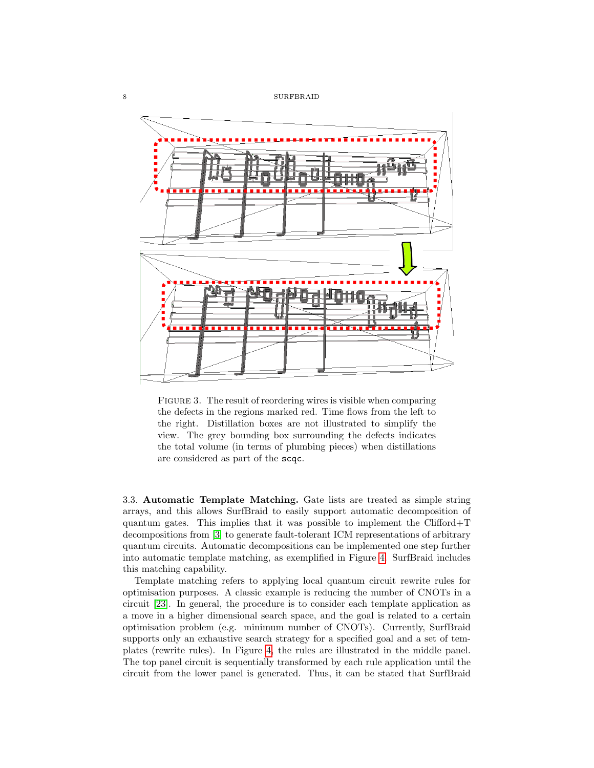

FIGURE 3. The result of reordering wires is visible when comparing the defects in the regions marked red. Time flows from the left to the right. Distillation boxes are not illustrated to simplify the view. The grey bounding box surrounding the defects indicates the total volume (in terms of plumbing pieces) when distillations are considered as part of the scqc.

<span id="page-7-0"></span>3.3. Automatic Template Matching. Gate lists are treated as simple string arrays, and this allows SurfBraid to easily support automatic decomposition of quantum gates. This implies that it was possible to implement the Clifford+T decompositions from [\[3\]](#page-10-2) to generate fault-tolerant ICM representations of arbitrary quantum circuits. Automatic decompositions can be implemented one step further into automatic template matching, as exemplified in Figure [4.](#page-8-1) SurfBraid includes this matching capability.

Template matching refers to applying local quantum circuit rewrite rules for optimisation purposes. A classic example is reducing the number of CNOTs in a circuit [\[23\]](#page-11-6). In general, the procedure is to consider each template application as a move in a higher dimensional search space, and the goal is related to a certain optimisation problem (e.g. minimum number of CNOTs). Currently, SurfBraid supports only an exhaustive search strategy for a specified goal and a set of templates (rewrite rules). In Figure [4,](#page-8-1) the rules are illustrated in the middle panel. The top panel circuit is sequentially transformed by each rule application until the circuit from the lower panel is generated. Thus, it can be stated that SurfBraid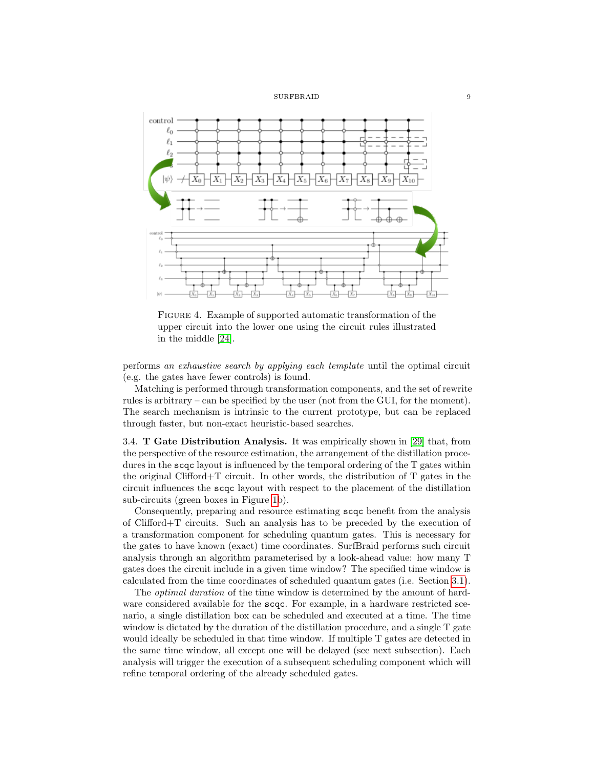

<span id="page-8-1"></span>FIGURE 4. Example of supported automatic transformation of the upper circuit into the lower one using the circuit rules illustrated in the middle [\[24\]](#page-11-7).

performs an exhaustive search by applying each template until the optimal circuit (e.g. the gates have fewer controls) is found.

Matching is performed through transformation components, and the set of rewrite rules is arbitrary – can be specified by the user (not from the GUI, for the moment). The search mechanism is intrinsic to the current prototype, but can be replaced through faster, but non-exact heuristic-based searches.

<span id="page-8-0"></span>3.4. T Gate Distribution Analysis. It was empirically shown in [\[29\]](#page-11-12) that, from the perspective of the resource estimation, the arrangement of the distillation procedures in the scqc layout is influenced by the temporal ordering of the T gates within the original Clifford+T circuit. In other words, the distribution of T gates in the circuit influences the scqc layout with respect to the placement of the distillation sub-circuits (green boxes in Figure [1b](#page-2-0)).

Consequently, preparing and resource estimating scqc benefit from the analysis of Clifford+T circuits. Such an analysis has to be preceded by the execution of a transformation component for scheduling quantum gates. This is necessary for the gates to have known (exact) time coordinates. SurfBraid performs such circuit analysis through an algorithm parameterised by a look-ahead value: how many T gates does the circuit include in a given time window? The specified time window is calculated from the time coordinates of scheduled quantum gates (i.e. Section [3.1\)](#page-6-0).

The optimal duration of the time window is determined by the amount of hardware considered available for the scqc. For example, in a hardware restricted scenario, a single distillation box can be scheduled and executed at a time. The time window is dictated by the duration of the distillation procedure, and a single T gate would ideally be scheduled in that time window. If multiple T gates are detected in the same time window, all except one will be delayed (see next subsection). Each analysis will trigger the execution of a subsequent scheduling component which will refine temporal ordering of the already scheduled gates.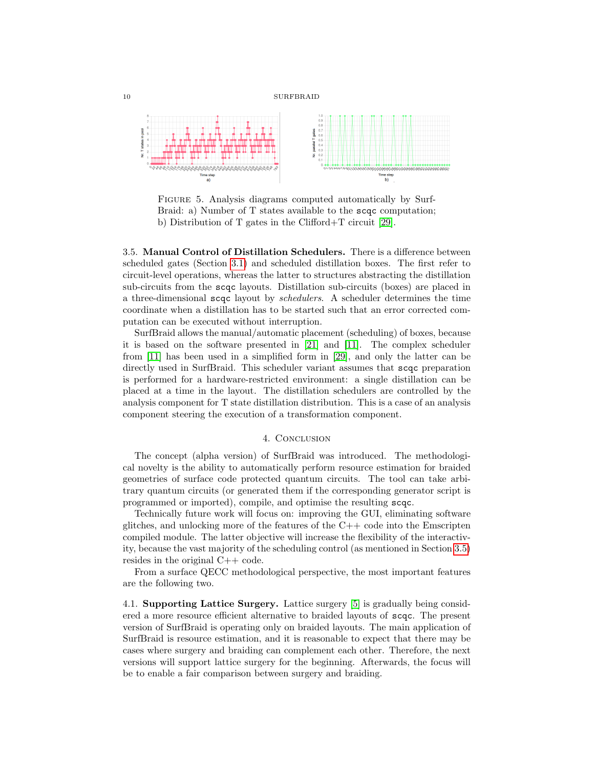



FIGURE 5. Analysis diagrams computed automatically by Surf-Braid: a) Number of T states available to the scqc computation; b) Distribution of T gates in the Clifford+T circuit [\[29\]](#page-11-12).

<span id="page-9-0"></span>3.5. Manual Control of Distillation Schedulers. There is a difference between scheduled gates (Section [3.1\)](#page-6-0) and scheduled distillation boxes. The first refer to circuit-level operations, whereas the latter to structures abstracting the distillation sub-circuits from the scqc layouts. Distillation sub-circuits (boxes) are placed in a three-dimensional scqc layout by schedulers. A scheduler determines the time coordinate when a distillation has to be started such that an error corrected computation can be executed without interruption.

SurfBraid allows the manual/automatic placement (scheduling) of boxes, because it is based on the software presented in [\[21\]](#page-11-4) and [\[11\]](#page-10-10). The complex scheduler from [\[11\]](#page-10-10) has been used in a simplified form in [\[29\]](#page-11-12), and only the latter can be directly used in SurfBraid. This scheduler variant assumes that scqc preparation is performed for a hardware-restricted environment: a single distillation can be placed at a time in the layout. The distillation schedulers are controlled by the analysis component for T state distillation distribution. This is a case of an analysis component steering the execution of a transformation component.

## 4. CONCLUSION

The concept (alpha version) of SurfBraid was introduced. The methodological novelty is the ability to automatically perform resource estimation for braided geometries of surface code protected quantum circuits. The tool can take arbitrary quantum circuits (or generated them if the corresponding generator script is programmed or imported), compile, and optimise the resulting scqc.

Technically future work will focus on: improving the GUI, eliminating software glitches, and unlocking more of the features of the  $C++$  code into the Emscripten compiled module. The latter objective will increase the flexibility of the interactivity, because the vast majority of the scheduling control (as mentioned in Section [3.5\)](#page-9-0) resides in the original C++ code.

From a surface QECC methodological perspective, the most important features are the following two.

4.1. Supporting Lattice Surgery. Lattice surgery [\[5\]](#page-10-4) is gradually being considered a more resource efficient alternative to braided layouts of scqc. The present version of SurfBraid is operating only on braided layouts. The main application of SurfBraid is resource estimation, and it is reasonable to expect that there may be cases where surgery and braiding can complement each other. Therefore, the next versions will support lattice surgery for the beginning. Afterwards, the focus will be to enable a fair comparison between surgery and braiding.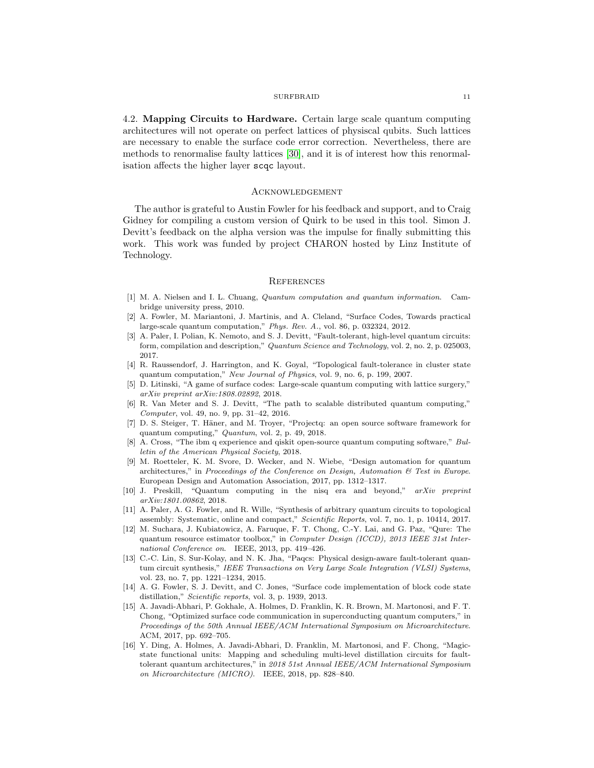4.2. Mapping Circuits to Hardware. Certain large scale quantum computing architectures will not operate on perfect lattices of physiscal qubits. Such lattices are necessary to enable the surface code error correction. Nevertheless, there are methods to renormalise faulty lattices [\[30\]](#page-11-13), and it is of interest how this renormalisation affects the higher layer scqc layout.

### Acknowledgement

The author is grateful to Austin Fowler for his feedback and support, and to Craig Gidney for compiling a custom version of Quirk to be used in this tool. Simon J. Devitt's feedback on the alpha version was the impulse for finally submitting this work. This work was funded by project CHARON hosted by Linz Institute of Technology.

### **REFERENCES**

- <span id="page-10-0"></span>[1] M. A. Nielsen and I. L. Chuang, Quantum computation and quantum information. Cambridge university press, 2010.
- <span id="page-10-1"></span>[2] A. Fowler, M. Mariantoni, J. Martinis, and A. Cleland, "Surface Codes, Towards practical large-scale quantum computation," Phys. Rev. A., vol. 86, p. 032324, 2012.
- <span id="page-10-2"></span>[3] A. Paler, I. Polian, K. Nemoto, and S. J. Devitt, "Fault-tolerant, high-level quantum circuits: form, compilation and description," Quantum Science and Technology, vol. 2, no. 2, p. 025003, 2017.
- <span id="page-10-3"></span>[4] R. Raussendorf, J. Harrington, and K. Goyal, "Topological fault-tolerance in cluster state quantum computation," New Journal of Physics, vol. 9, no. 6, p. 199, 2007.
- <span id="page-10-4"></span>[5] D. Litinski, "A game of surface codes: Large-scale quantum computing with lattice surgery," arXiv preprint arXiv:1808.02892, 2018.
- <span id="page-10-5"></span>[6] R. Van Meter and S. J. Devitt, "The path to scalable distributed quantum computing," Computer, vol. 49, no. 9, pp. 31–42, 2016.
- <span id="page-10-6"></span>[7] D. S. Steiger, T. Häner, and M. Troyer, "Projectq: an open source software framework for quantum computing," Quantum, vol. 2, p. 49, 2018.
- <span id="page-10-7"></span>[8] A. Cross, "The ibm q experience and qiskit open-source quantum computing software," Bulletin of the American Physical Society, 2018.
- <span id="page-10-8"></span>[9] M. Roetteler, K. M. Svore, D. Wecker, and N. Wiebe, "Design automation for quantum architectures," in Proceedings of the Conference on Design, Automation & Test in Europe. European Design and Automation Association, 2017, pp. 1312–1317.
- <span id="page-10-9"></span>[10] J. Preskill, "Quantum computing in the nisq era and beyond," arXiv preprint arXiv:1801.00862, 2018.
- <span id="page-10-10"></span>[11] A. Paler, A. G. Fowler, and R. Wille, "Synthesis of arbitrary quantum circuits to topological assembly: Systematic, online and compact," Scientific Reports, vol. 7, no. 1, p. 10414, 2017.
- <span id="page-10-11"></span>[12] M. Suchara, J. Kubiatowicz, A. Faruque, F. T. Chong, C.-Y. Lai, and G. Paz, "Qure: The quantum resource estimator toolbox," in Computer Design (ICCD), 2013 IEEE 31st International Conference on. IEEE, 2013, pp. 419–426.
- <span id="page-10-12"></span>[13] C.-C. Lin, S. Sur-Kolay, and N. K. Jha, "Paqcs: Physical design-aware fault-tolerant quantum circuit synthesis," IEEE Transactions on Very Large Scale Integration (VLSI) Systems, vol. 23, no. 7, pp. 1221–1234, 2015.
- <span id="page-10-13"></span>[14] A. G. Fowler, S. J. Devitt, and C. Jones, "Surface code implementation of block code state distillation," Scientific reports, vol. 3, p. 1939, 2013.
- <span id="page-10-14"></span>[15] A. Javadi-Abhari, P. Gokhale, A. Holmes, D. Franklin, K. R. Brown, M. Martonosi, and F. T. Chong, "Optimized surface code communication in superconducting quantum computers," in Proceedings of the 50th Annual IEEE/ACM International Symposium on Microarchitecture. ACM, 2017, pp. 692–705.
- <span id="page-10-15"></span>[16] Y. Ding, A. Holmes, A. Javadi-Abhari, D. Franklin, M. Martonosi, and F. Chong, "Magicstate functional units: Mapping and scheduling multi-level distillation circuits for faulttolerant quantum architectures," in 2018 51st Annual IEEE/ACM International Symposium on Microarchitecture (MICRO). IEEE, 2018, pp. 828–840.